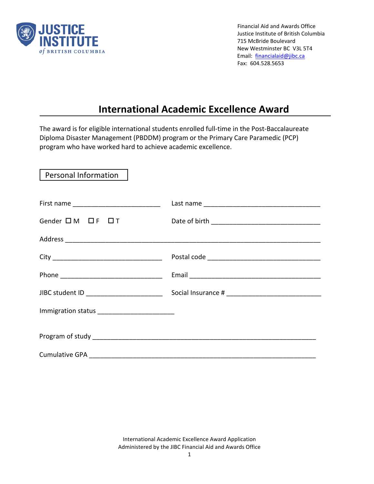

Financial Aid and Awards Office Justice Institute of British Columbia 715 McBride Boulevard New Westminster BC V3L 5T4 Email: [financialaid@jibc.ca](mailto:financialaid@jibc.ca) Fax: 604.528.5653

# **International Academic Excellence Award**

The award is for eligible international students enrolled full-time in the Post-Baccalaureate Diploma Disaster Management (PBDDM) program or the Primary Care Paramedic (PCP) program who have worked hard to achieve academic excellence.

 Personal Information First name \_\_\_\_\_\_\_\_\_\_\_\_\_\_\_\_\_\_\_\_\_\_\_\_ Last name \_\_\_\_\_\_\_\_\_\_\_\_\_\_\_\_\_\_\_\_\_\_\_\_\_\_\_\_\_\_\_\_ Gender  $\square$  M  $\square$  F  $\square$  T  $\square$  Date of birth  $\square$ Address \_\_\_\_\_\_\_\_\_\_\_\_\_\_\_\_\_\_\_\_\_\_\_\_\_\_\_\_\_\_\_\_\_\_\_\_\_\_\_\_\_\_\_\_\_\_\_\_\_\_\_\_\_\_\_\_\_\_\_\_\_\_\_\_\_\_\_\_\_\_ City \_\_\_\_\_\_\_\_\_\_\_\_\_\_\_\_\_\_\_\_\_\_\_\_\_\_\_\_\_\_ Postal code \_\_\_\_\_\_\_\_\_\_\_\_\_\_\_\_\_\_\_\_\_\_\_\_\_\_\_\_\_\_\_ Phone **Email Email Email Email Email Email**  *Email Email Phone Email* JIBC student ID \_\_\_\_\_\_\_\_\_\_\_\_\_\_\_\_\_\_\_\_\_ Social Insurance # \_\_\_\_\_\_\_\_\_\_\_\_\_\_\_\_\_\_\_\_\_\_\_\_\_\_ Immigration status \_\_\_\_\_\_\_\_\_\_\_\_\_\_\_\_\_\_\_\_\_ Program of study and the study of the study of the study of the study of the study of the study of the study of the study of the study of the study of the study of the study of the study of the study of the study of the st Cumulative GPA and the state of the state of the state of the state of the state of the state of the state of the state of the state of the state of the state of the state of the state of the state of the state of the stat

> International Academic Excellence Award Application Administered by the JIBC Financial Aid and Awards Office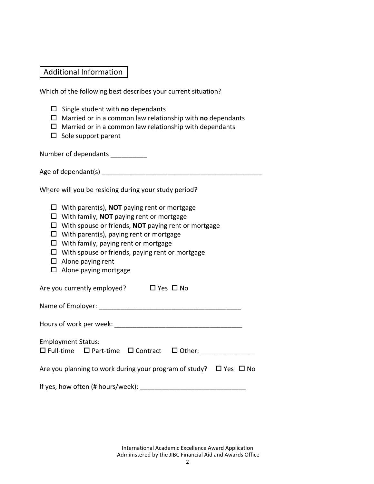### Additional Information

Which of the following best describes your current situation?

- $\square$  Single student with **no** dependants
- Married or in a common law relationship with **no** dependants
- $\Box$  Married or in a common law relationship with dependants
- $\square$  Sole support parent

Number of dependants

Age of dependant(s) example a set of  $\alpha$ 

Where will you be residing during your study period?

- With parent(s), **NOT** paying rent or mortgage
- With family, **NOT** paying rent or mortgage
- With spouse or friends, **NOT** paying rent or mortgage
- $\Box$  With parent(s), paying rent or mortgage
- $\Box$  With family, paying rent or mortgage
- $\Box$  With spouse or friends, paying rent or mortgage
- $\Box$  Alone paying rent
- $\square$  Alone paying mortgage

Are you currently employed?  $\Box$  Yes  $\Box$  No

Name of Employer: \_\_\_\_\_\_\_\_\_\_\_\_\_\_\_\_\_\_\_\_\_\_\_\_\_\_\_\_\_\_\_\_\_\_\_\_\_\_\_

Hours of work per week: **We are all that the set of work** per week:

Employment Status: Full-time Part-time Contract Other: \_\_\_\_\_\_\_\_\_\_\_\_\_\_\_

|  | Are you planning to work during your program of study? $\Box$ Yes $\Box$ No |  |  |
|--|-----------------------------------------------------------------------------|--|--|
|--|-----------------------------------------------------------------------------|--|--|

If yes, how often (# hours/week): \_\_\_\_\_\_\_\_\_\_\_\_\_\_\_\_\_\_\_\_\_\_\_\_\_\_\_\_\_

International Academic Excellence Award Application Administered by the JIBC Financial Aid and Awards Office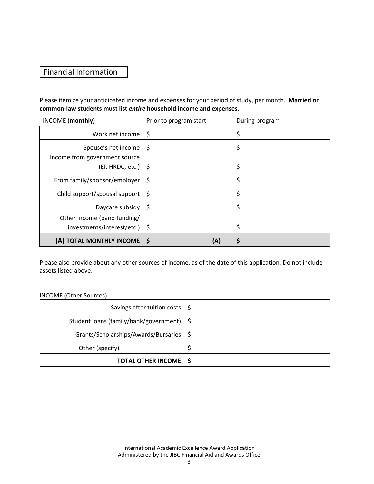### Financial Information

Please itemize your anticipated income and expenses for your period of study, per month. **Married or common-law students must list** *entire* **household income and expenses.** 

| INCOME (monthly)              | Prior to program start | During program |
|-------------------------------|------------------------|----------------|
| Work net income               | \$                     | \$             |
| Spouse's net income           | \$                     | \$             |
| Income from government source |                        |                |
| (EI, HRDC, etc.)              | -\$                    | \$             |
| From family/sponsor/employer  | \$                     | \$             |
| Child support/spousal support | \$                     | \$             |
| Daycare subsidy               | \$                     | \$             |
| Other income (band funding/   |                        |                |
| investments/interest/etc.)    | -\$                    | \$             |
| (A) TOTAL MONTHLY INCOME      | \$<br>(A)              | \$             |

Please also provide about any other sources of income, as of the date of this application. Do not include assets listed above.

#### INCOME (Other Sources)

| Savings after tuition costs $\frac{1}{5}$   |  |
|---------------------------------------------|--|
| Student loans (family/bank/government)   \$ |  |
| Grants/Scholarships/Awards/Bursaries   \$   |  |
| Other (specify)                             |  |
| <b>TOTAL OTHER INCOME   \$</b>              |  |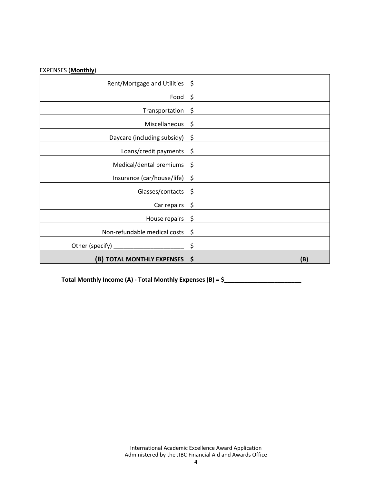| Rent/Mortgage and Utilities  | \$        |
|------------------------------|-----------|
| Food                         | \$        |
| Transportation               | \$        |
| Miscellaneous                | \$        |
| Daycare (including subsidy)  | \$        |
| Loans/credit payments        | \$        |
| Medical/dental premiums      | \$        |
| Insurance (car/house/life)   | \$        |
| Glasses/contacts             | \$        |
| Car repairs                  | \$        |
| House repairs                | \$        |
| Non-refundable medical costs | \$        |
| Other (specify) _            | \$        |
| (B) TOTAL MONTHLY EXPENSES   | \$<br>(B) |

**Total Monthly Income (A) - Total Monthly Expenses (B) = \$\_\_\_\_\_\_\_\_\_\_\_\_\_\_\_\_\_\_\_\_\_\_\_**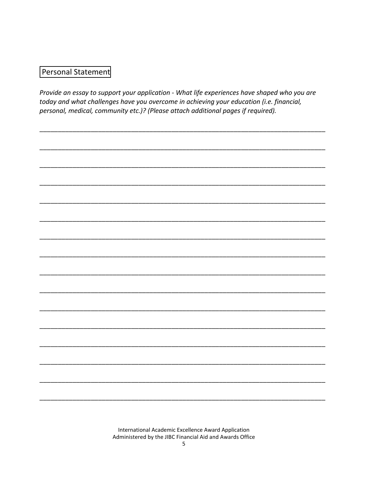## Personal Statement

Provide an essay to support your application - What life experiences have shaped who you are today and what challenges have you overcome in achieving your education (i.e. financial, personal, medical, community etc.)? (Please attach additional pages if required).

International Academic Excellence Award Application Administered by the JIBC Financial Aid and Awards Office